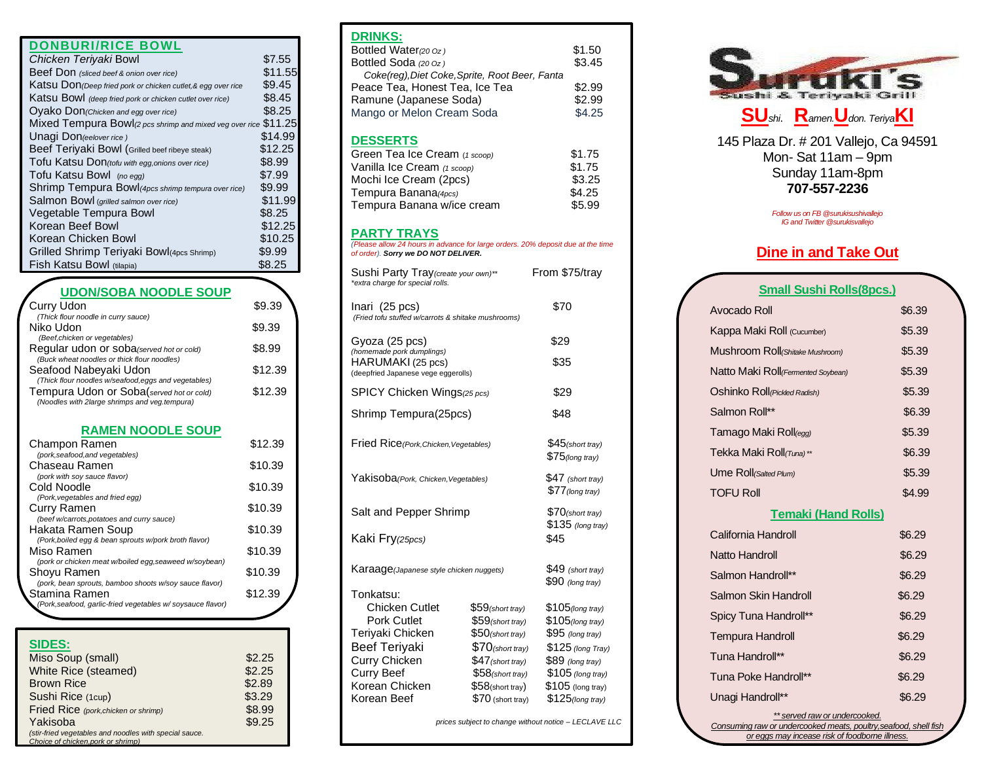| <b>DONBURI/RICE BOWL</b> |  |
|--------------------------|--|

| Chicken Teriyaki Bowl                                           | \$7.55  |
|-----------------------------------------------------------------|---------|
| Beef Don (sliced beef & onion over rice)                        | \$11.55 |
| Katsu Don (Deep fried pork or chicken cutlet, & egg over rice   | \$9.45  |
| Katsu Bowl (deep fried pork or chicken cutlet over rice)        | \$8.45  |
| Oyako Don(Chicken and egg over rice)                            | \$8.25  |
| Mixed Tempura Bowl(2 pcs shrimp and mixed veg over rice \$11.25 |         |
| Unagi Don(eelover rice)                                         | \$14.99 |
| Beef Teriyaki Bowl (Grilled beef ribeye steak)                  | \$12.25 |
| Tofu Katsu Don(tofu with egg, onions over rice)                 | \$8.99  |
| Tofu Katsu Bowl (no egg)                                        | \$7.99  |
| Shrimp Tempura Bowl (4pcs shrimp tempura over rice)             | \$9.99  |
| Salmon Bowl (grilled salmon over rice)                          | \$11.99 |
| Vegetable Tempura Bowl                                          | \$8.25  |
| Korean Beef Bowl                                                | \$12.25 |
| Korean Chicken Bowl                                             | \$10.25 |
| Grilled Shrimp Teriyaki Bowl(4pcs Shrimp)                       | \$9.99  |
| Fish Katsu Bowl (tilapia)                                       | \$8.25  |
|                                                                 |         |

# **UDON/SOBA NOODLE SOUP**

| <b>Curry Udon</b>                                                                         | \$9.39  |
|-------------------------------------------------------------------------------------------|---------|
| (Thick flour noodle in curry sauce)                                                       |         |
| Niko Udon<br>(Beef, chicken or vegetables)                                                | \$9.39  |
| Regular udon or soba (served hot or cold)<br>(Buck wheat noodles or thick flour noodles)  | \$8.99  |
| Seafood Nabeyaki Udon<br>(Thick flour noodles w/seafood, eggs and vegetables)             | \$12.39 |
| Tempura Udon or Soba(served hot or cold)<br>(Noodles with 2large shrimps and veg.tempura) | \$12.39 |
| <b>RAMEN NOODLE SOUP</b>                                                                  |         |
| Champon Ramen<br>(pork.seafood.and vegetables)                                            | \$12.39 |

| (pork, seafood, and vegetables)                            |         |
|------------------------------------------------------------|---------|
| Chaseau Ramen                                              | \$10.39 |
| (pork with soy sauce flavor)                               |         |
| Cold Noodle                                                | \$10.39 |
| (Pork, vegetables and fried egg)                           |         |
| Curry Ramen                                                | \$10.39 |
| (beef w/carrots, potatoes and curry sauce)                 |         |
| Hakata Ramen Soup                                          | \$10.39 |
| (Pork, boiled egg & bean sprouts w/pork broth flavor)      |         |
| Miso Ramen                                                 | \$10.39 |
| (pork or chicken meat w/boiled egg, seaweed w/soybean)     |         |
| Shoyu Ramen                                                | \$10.39 |
| (pork, bean sprouts, bamboo shoots w/soy sauce flavor)     |         |
| Stamina Ramen                                              | \$12.39 |
| (Pork, seafood, garlic-fried vegetables w/soysauce flavor) |         |
|                                                            |         |

### **SIDES:**

| Miso Soup (small)                                      | \$2.25 |
|--------------------------------------------------------|--------|
| White Rice (steamed)                                   | \$2.25 |
| <b>Brown Rice</b>                                      | \$2.89 |
| Sushi Rice (1cup)                                      | \$3.29 |
| Fried Rice (pork, chicken or shrimp)                   | \$8.99 |
| Yakisoba                                               | \$9.25 |
| (stir-fried vegetables and noodles with special sauce. |        |
| Choice of chicken, pork or shrimp)                     |        |

#### **DRINKS:**

| URIINNJ.                                       |        |  |
|------------------------------------------------|--------|--|
| Bottled Water(20 Oz)                           | \$1.50 |  |
| Bottled Soda (20 Oz)                           | \$3.45 |  |
| Coke(reg), Diet Coke, Sprite, Root Beer, Fanta |        |  |
| Peace Tea, Honest Tea, Ice Tea                 | \$2.99 |  |
| Ramune (Japanese Soda)                         | \$2.99 |  |
| Mango or Melon Cream Soda                      | \$4.25 |  |
|                                                |        |  |
|                                                |        |  |

### **DESSERTS**

| Green Tea Ice Cream (1 scoop) | \$1.75 |
|-------------------------------|--------|
| Vanilla Ice Cream (1 scoop)   | \$1.75 |
| Mochi Ice Cream (2pcs)        | \$3.25 |
| Tempura Banana(4pcs)          | \$4.25 |
| Tempura Banana w/ice cream    | \$5.99 |

#### **PARTY TRAYS**

*(Please allow 24 hours in advance for large orders. 20% deposit due at the time of order). Sorry we DO NOT DELIVER.*

| Sushi Party Tray (create your own)**<br>*extra charge for special rolls.              |                                          | From \$75/tray                          |
|---------------------------------------------------------------------------------------|------------------------------------------|-----------------------------------------|
| Inari (25 pcs)<br>(Fried tofu stuffed w/carrots & shitake mushrooms)                  |                                          | \$70                                    |
| Gyoza (25 pcs)                                                                        |                                          | \$29                                    |
| (homemade pork dumplings)<br>HARUMAKI (25 pcs)<br>(deepfried Japanese vege eggerolls) |                                          | \$35                                    |
| SPICY Chicken Wings(25 pcs)                                                           |                                          | \$29                                    |
| Shrimp Tempura(25pcs)                                                                 |                                          | \$48                                    |
| Fried Rice (Pork, Chicken, Vegetables)                                                |                                          | $$45$ (short tray)<br>$$75$ (long tray) |
| Yakisoba(Pork, Chicken, Vegetables)                                                   |                                          | \$47 (short tray)<br>$$77$ (long tray)  |
| Salt and Pepper Shrimp                                                                |                                          | \$70(short tray)<br>\$135 (long tray)   |
| Kaki Fry <sub>(25pcs)</sub>                                                           |                                          | \$45                                    |
| Karaage (Japanese style chicken nuggets)                                              |                                          | $$49$ (short tray)<br>$$90$ (long tray) |
| Tonkatsu:                                                                             |                                          |                                         |
| Chicken Cutlet                                                                        | $$59$ (short tray)                       | \$105 (long tray)                       |
| <b>Pork Cutlet</b><br>Teriyaki Chicken                                                | $$59$ (short tray)<br>$$50$ (short tray) | \$105(long tray)<br>$$95$ (long tray)   |
| <b>Beef Teriyaki</b>                                                                  | $$70$ (short tray)                       | \$125 (long Tray)                       |
| Curry Chicken                                                                         | $$47$ (short tray)                       | \$89 (long tray)                        |
| <b>Curry Beef</b>                                                                     | $$58$ (short tray)                       | \$105 (long tray)                       |
| Korean Chicken                                                                        | $$58$ (short tray)                       | $$105$ (long tray)                      |
| Korean Beef                                                                           | $$125$ (long tray)                       |                                         |
|                                                                                       |                                          |                                         |

*prices subject to change without notice – LECLAVE LLC*



145 Plaza Dr. # 201 Vallejo, Ca 94591 Mon- Sat 11am – 9pm Sunday 11am-8pm **707-557-2236**

> *Follow us on FB @surukisushivallejo IG and Twitter @surukisvallejo*

## **Dine in and Take Out**

| <b>Small Sushi Rolls(8pcs.)</b>     |                                         |  |
|-------------------------------------|-----------------------------------------|--|
| Avocado Roll                        | \$6.39                                  |  |
| Kappa Maki Roll (Cucumber)          | \$5.39                                  |  |
| Mushroom Roll (Shitake Mushroom)    | \$5.39                                  |  |
| Natto Maki Roll (Fermented Soybean) | \$5.39                                  |  |
| Oshinko Roll (Pickled Radish)       | \$5.39                                  |  |
| Salmon Roll**                       | \$6.39                                  |  |
| Tamago Maki Roll <sub>(egg)</sub>   | \$5.39                                  |  |
| Tekka Maki Roll(Tuna)**             | \$6.39                                  |  |
| Ume Roll (Salted Plum)              | \$5.39                                  |  |
| <b>TOFU Roll</b>                    | \$4.99                                  |  |
| <b>Temaki (Hand Rolls)</b>          |                                         |  |
| California Handroll                 | \$6.29                                  |  |
| Natto Handroll                      | \$6.29                                  |  |
| Salmon Handroll**                   | \$6.29                                  |  |
| Salmon Skin Handroll                | \$6.29                                  |  |
| Spicy Tuna Handroll**               | \$6.29                                  |  |
| <b>Tempura Handroll</b>             | \$6.29                                  |  |
| Tuna Handroll**                     | \$6.29                                  |  |
| Tuna Poke Handroll**                | \$6.29                                  |  |
| Unagi Handroll**                    | \$6.29                                  |  |
| ** served raw or undercooked.       | $\cdot$ $\cdot$ $\cdot$ $\cdot$ $\cdot$ |  |

**Consuming raw or undercooked meats, poultry, seafood, sh** *or eggs may incease risk of foodborne illness.*